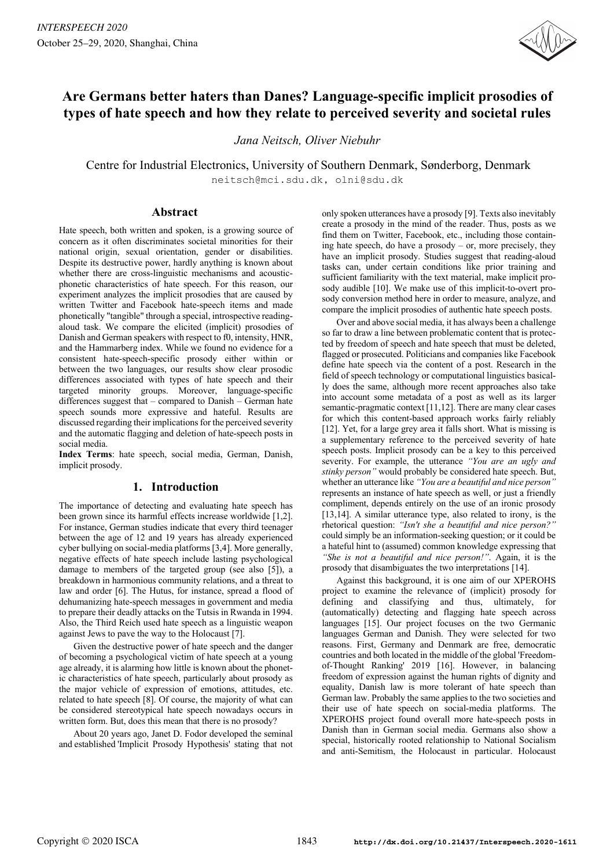

# **Are Germans better haters than Danes? Language-specific implicit prosodies of types of hate speech and how they relate to perceived severity and societal rules**

*Jana Neitsch, Oliver Niebuhr*

Centre for Industrial Electronics, University of Southern Denmark, Sønderborg, Denmark neitsch@mci.sdu.dk, olni@sdu.dk

### **Abstract**

Hate speech, both written and spoken, is a growing source of concern as it often discriminates societal minorities for their national origin, sexual orientation, gender or disabilities. Despite its destructive power, hardly anything is known about whether there are cross-linguistic mechanisms and acousticphonetic characteristics of hate speech. For this reason, our experiment analyzes the implicit prosodies that are caused by written Twitter and Facebook hate-speech items and made phonetically "tangible" through a special, introspective readingaloud task. We compare the elicited (implicit) prosodies of Danish and German speakers with respect to f0, intensity, HNR, and the Hammarberg index. While we found no evidence for a consistent hate-speech-specific prosody either within or between the two languages, our results show clear prosodic differences associated with types of hate speech and their targeted minority groups. Moreover, language-specific differences suggest that – compared to Danish – German hate speech sounds more expressive and hateful. Results are discussed regarding their implications for the perceived severity and the automatic flagging and deletion of hate-speech posts in social media.

**Index Terms**: hate speech, social media, German, Danish, implicit prosody.

## **1. Introduction**

The importance of detecting and evaluating hate speech has been grown since its harmful effects increase worldwide [1,2]. For instance, German studies indicate that every third teenager between the age of 12 and 19 years has already experienced cyber bullying on social-media platforms [3,4]. More generally, negative effects of hate speech include lasting psychological damage to members of the targeted group (see also [5]), a breakdown in harmonious community relations, and a threat to law and order [6]. The Hutus, for instance, spread a flood of dehumanizing hate-speech messages in government and media to prepare their deadly attacks on the Tutsis in Rwanda in 1994. Also, the Third Reich used hate speech as a linguistic weapon against Jews to pave the way to the Holocaust [7].

Given the destructive power of hate speech and the danger of becoming a psychological victim of hate speech at a young age already, it is alarming how little is known about the phonetic characteristics of hate speech, particularly about prosody as the major vehicle of expression of emotions, attitudes, etc. related to hate speech [8]. Of course, the majority of what can be considered stereotypical hate speech nowadays occurs in written form. But, does this mean that there is no prosody?

About 20 years ago, Janet D. Fodor developed the seminal and established 'Implicit Prosody Hypothesis' stating that not only spoken utterances have a prosody [9]. Texts also inevitably create a prosody in the mind of the reader. Thus, posts as we find them on Twitter, Facebook, etc., including those containing hate speech, do have a prosody – or, more precisely, they have an implicit prosody. Studies suggest that reading-aloud tasks can, under certain conditions like prior training and sufficient familiarity with the text material, make implicit prosody audible [10]. We make use of this implicit-to-overt prosody conversion method here in order to measure, analyze, and compare the implicit prosodies of authentic hate speech posts.

Over and above social media, it has always been a challenge so far to draw a line between problematic content that is protected by freedom of speech and hate speech that must be deleted, flagged or prosecuted. Politicians and companies like Facebook define hate speech via the content of a post. Research in the field of speech technology or computational linguistics basically does the same, although more recent approaches also take into account some metadata of a post as well as its larger semantic-pragmatic context [11,12]. There are many clear cases for which this content-based approach works fairly reliably [12]. Yet, for a large grey area it falls short. What is missing is a supplementary reference to the perceived severity of hate speech posts. Implicit prosody can be a key to this perceived severity. For example, the utterance *"You are an ugly and stinky person"* would probably be considered hate speech. But, whether an utterance like *"You are a beautiful and nice person"* represents an instance of hate speech as well, or just a friendly compliment, depends entirely on the use of an ironic prosody [13,14]. A similar utterance type, also related to irony, is the rhetorical question: *"Isn't she a beautiful and nice person?"* could simply be an information-seeking question; or it could be a hateful hint to (assumed) common knowledge expressing that *"She is not a beautiful and nice person!"*. Again, it is the prosody that disambiguates the two interpretations [14].

Against this background, it is one aim of our XPEROHS project to examine the relevance of (implicit) prosody for defining and classifying and thus, ultimately, (automatically) detecting and flagging hate speech across languages [15]. Our project focuses on the two Germanic languages German and Danish. They were selected for two reasons. First, Germany and Denmark are free, democratic countries and both located in the middle of the global 'Freedomof-Thought Ranking' 2019 [16]. However, in balancing freedom of expression against the human rights of dignity and equality, Danish law is more tolerant of hate speech than German law. Probably the same applies to the two societies and their use of hate speech on social-media platforms. The XPEROHS project found overall more hate-speech posts in Danish than in German social media. Germans also show a special, historically rooted relationship to National Socialism and anti-Semitism, the Holocaust in particular. Holocaust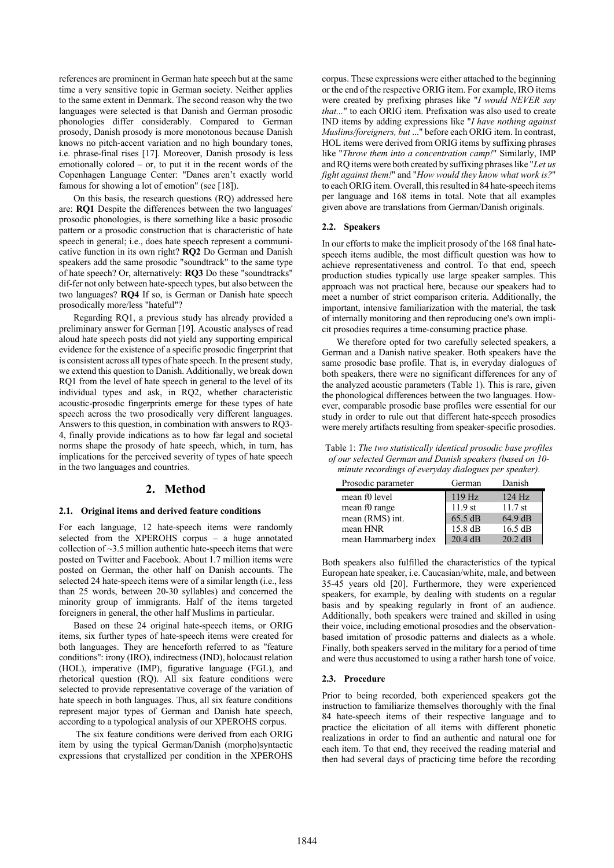references are prominent in German hate speech but at the same time a very sensitive topic in German society. Neither applies to the same extent in Denmark. The second reason why the two languages were selected is that Danish and German prosodic phonologies differ considerably. Compared to German prosody, Danish prosody is more monotonous because Danish knows no pitch-accent variation and no high boundary tones, i.e. phrase-final rises [17]. Moreover, Danish prosody is less emotionally colored – or, to put it in the recent words of the Copenhagen Language Center: "Danes aren't exactly world famous for showing a lot of emotion" (see [18]).

On this basis, the research questions (RQ) addressed here are: **RQ1** Despite the differences between the two languages' prosodic phonologies, is there something like a basic prosodic pattern or a prosodic construction that is characteristic of hate speech in general; i.e., does hate speech represent a communicative function in its own right? **RQ2** Do German and Danish speakers add the same prosodic "soundtrack" to the same type of hate speech? Or, alternatively: **RQ3** Do these "soundtracks" dif-fer not only between hate-speech types, but also between the two languages? **RQ4** If so, is German or Danish hate speech prosodically more/less "hateful"?

Regarding RQ1, a previous study has already provided a preliminary answer for German [19]. Acoustic analyses of read aloud hate speech posts did not yield any supporting empirical evidence for the existence of a specific prosodic fingerprint that is consistent across all types of hate speech. In the present study, we extend this question to Danish. Additionally, we break down RQ1 from the level of hate speech in general to the level of its individual types and ask, in RQ2, whether characteristic acoustic-prosodic fingerprints emerge for these types of hate speech across the two prosodically very different languages. Answers to this question, in combination with answers to RQ3- 4, finally provide indications as to how far legal and societal norms shape the prosody of hate speech, which, in turn, has implications for the perceived severity of types of hate speech in the two languages and countries.

### **2. Method**

#### **2.1. Original items and derived feature conditions**

For each language, 12 hate-speech items were randomly selected from the XPEROHS corpus – a huge annotated collection of ~3.5 million authentic hate-speech items that were posted on Twitter and Facebook. About 1.7 million items were posted on German, the other half on Danish accounts. The selected 24 hate-speech items were of a similar length (i.e., less than 25 words, between 20-30 syllables) and concerned the minority group of immigrants. Half of the items targeted foreigners in general, the other half Muslims in particular.

Based on these 24 original hate-speech items, or ORIG items, six further types of hate-speech items were created for both languages. They are henceforth referred to as ''feature conditions'': irony (IRO), indirectness (IND), holocaust relation (HOL), imperative (IMP), figurative language (FGL), and rhetorical question (RQ). All six feature conditions were selected to provide representative coverage of the variation of hate speech in both languages. Thus, all six feature conditions represent major types of German and Danish hate speech, according to a typological analysis of our XPEROHS corpus.

The six feature conditions were derived from each ORIG item by using the typical German/Danish (morpho)syntactic expressions that crystallized per condition in the XPEROHS corpus. These expressions were either attached to the beginning or the end of the respective ORIG item. For example, IRO items were created by prefixing phrases like "*I would NEVER say that...*" to each ORIG item. Prefixation was also used to create IND items by adding expressions like "*I have nothing against Muslims/foreigners, but* ..." before each ORIG item. In contrast, HOL items were derived from ORIG items by suffixing phrases like "*Throw them into a concentration camp!*" Similarly, IMP andRQ items were both created by suffixing phraseslike "*Let us fight against them!*" and "*How would they know what work is?*" to each ORIG item. Overall, this resulted in 84 hate-speech items per language and 168 items in total. Note that all examples given above are translations from German/Danish originals.

#### **2.2. Speakers**

In our efforts to make the implicit prosody of the 168 final hatespeech items audible, the most difficult question was how to achieve representativeness and control. To that end, speech production studies typically use large speaker samples. This approach was not practical here, because our speakers had to meet a number of strict comparison criteria. Additionally, the important, intensive familiarization with the material, the task of internally monitoring and then reproducing one's own implicit prosodies requires a time-consuming practice phase.

We therefore opted for two carefully selected speakers, a German and a Danish native speaker. Both speakers have the same prosodic base profile. That is, in everyday dialogues of both speakers, there were no significant differences for any of the analyzed acoustic parameters (Table 1). This is rare, given the phonological differences between the two languages. However, comparable prosodic base profiles were essential for our study in order to rule out that different hate-speech prosodies were merely artifacts resulting from speaker-specific prosodies.

Table 1: *The two statistically identical prosodic base profiles of our selected German and Danish speakers (based on 10 minute recordings of everyday dialogues per speaker).*

| Prosodic parameter    | German            | Danish    |
|-----------------------|-------------------|-----------|
| mean f0 level         | 119 Hz            | 124 Hz    |
| mean f0 range         | $11.9$ st         | $11.7$ st |
| mean (RMS) int.       | 65.5 dB           | 64.9 dB   |
| mean HNR              | $15.8 \text{ dB}$ | 16.5 dB   |
| mean Hammarberg index | 20.4 dB           | $20.2$ dB |

Both speakers also fulfilled the characteristics of the typical European hate speaker, i.e. Caucasian/white, male, and between 35-45 years old [20]. Furthermore, they were experienced speakers, for example, by dealing with students on a regular basis and by speaking regularly in front of an audience. Additionally, both speakers were trained and skilled in using their voice, including emotional prosodies and the observationbased imitation of prosodic patterns and dialects as a whole. Finally, both speakers served in the military for a period of time and were thus accustomed to using a rather harsh tone of voice.

#### **2.3. Procedure**

Prior to being recorded, both experienced speakers got the instruction to familiarize themselves thoroughly with the final 84 hate-speech items of their respective language and to practice the elicitation of all items with different phonetic realizations in order to find an authentic and natural one for each item. To that end, they received the reading material and then had several days of practicing time before the recording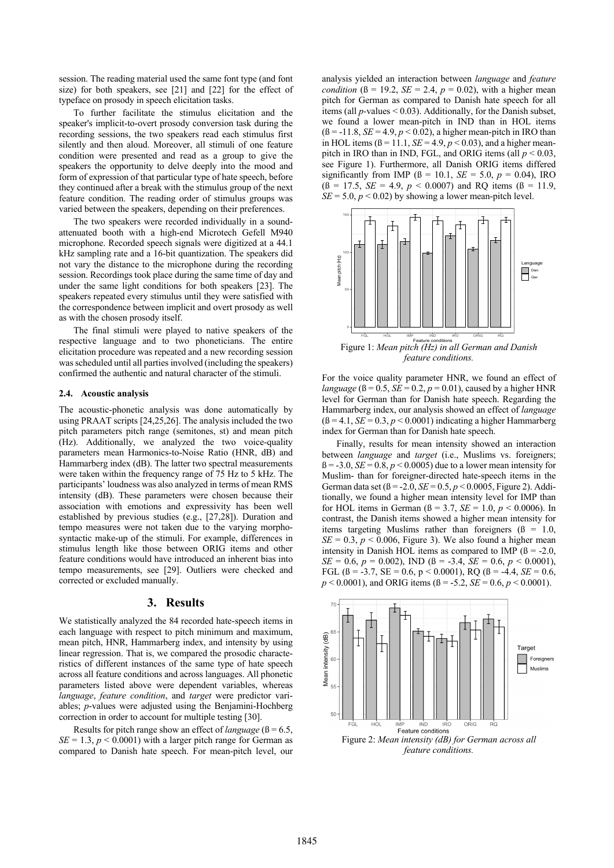session. The reading material used the same font type (and font size) for both speakers, see [21] and [22] for the effect of typeface on prosody in speech elicitation tasks.

To further facilitate the stimulus elicitation and the speaker's implicit-to-overt prosody conversion task during the recording sessions, the two speakers read each stimulus first silently and then aloud. Moreover, all stimuli of one feature condition were presented and read as a group to give the speakers the opportunity to delve deeply into the mood and form of expression of that particular type of hate speech, before they continued after a break with the stimulus group of the next feature condition. The reading order of stimulus groups was varied between the speakers, depending on their preferences.

The two speakers were recorded individually in a soundattenuated booth with a high-end Microtech Gefell M940 microphone. Recorded speech signals were digitized at a 44.1 kHz sampling rate and a 16-bit quantization. The speakers did not vary the distance to the microphone during the recording session. Recordings took place during the same time of day and under the same light conditions for both speakers [23]. The speakers repeated every stimulus until they were satisfied with the correspondence between implicit and overt prosody as well as with the chosen prosody itself.

The final stimuli were played to native speakers of the respective language and to two phoneticians. The entire elicitation procedure was repeated and a new recording session was scheduled until all parties involved (including the speakers) confirmed the authentic and natural character of the stimuli.

#### **2.4. Acoustic analysis**

The acoustic-phonetic analysis was done automatically by using PRAAT scripts [24,25,26]. The analysis included the two pitch parameters pitch range (semitones, st) and mean pitch (Hz). Additionally, we analyzed the two voice-quality parameters mean Harmonics-to-Noise Ratio (HNR, dB) and Hammarberg index (dB). The latter two spectral measurements were taken within the frequency range of 75 Hz to 5 kHz. The participants' loudness was also analyzed in terms of mean RMS intensity (dB). These parameters were chosen because their association with emotions and expressivity has been well established by previous studies (e.g., [27,28]). Duration and tempo measures were not taken due to the varying morphosyntactic make-up of the stimuli. For example, differences in stimulus length like those between ORIG items and other feature conditions would have introduced an inherent bias into tempo measurements, see [29]. Outliers were checked and corrected or excluded manually.

### **3. Results**

We statistically analyzed the 84 recorded hate-speech items in each language with respect to pitch minimum and maximum, mean pitch, HNR, Hammarberg index, and intensity by using linear regression. That is, we compared the prosodic characteristics of different instances of the same type of hate speech across all feature conditions and across languages. All phonetic parameters listed above were dependent variables, whereas *language*, *feature condition*, and *target* were predictor variables; *p*-values were adjusted using the Benjamini-Hochberg correction in order to account for multiple testing [30].

Results for pitch range show an effect of *language*  $(β = 6.5$ ,  $SE = 1.3$ ,  $p < 0.0001$ ) with a larger pitch range for German as compared to Danish hate speech. For mean-pitch level, our analysis yielded an interaction between *language* and *feature condition* ( $\beta = 19.2$ ,  $SE = 2.4$ ,  $p = 0.02$ ), with a higher mean pitch for German as compared to Danish hate speech for all items (all *p-*values < 0.03). Additionally, for the Danish subset, we found a lower mean-pitch in IND than in HOL items  $(6 = -11.8, SE = 4.9, p < 0.02)$ , a higher mean-pitch in IRO than in HOL items  $(\beta = 11.1, SE = 4.9, p < 0.03)$ , and a higher meanpitch in IRO than in IND, FGL, and ORIG items (all *p* < 0.03, see Figure 1). Furthermore, all Danish ORIG items differed significantly from IMP ( $\beta = 10.1$ , *SE* = 5.0, *p* = 0.04), IRO  $( \beta = 17.5, SE = 4.9, p < 0.0007)$  and RQ items  $( \beta = 11.9,$  $SE = 5.0, p < 0.02$  by showing a lower mean-pitch level.



*feature conditions.*

For the voice quality parameter HNR, we found an effect of *language* ( $\beta = 0.5$ ,  $SE = 0.2$ ,  $p = 0.01$ ), caused by a higher HNR level for German than for Danish hate speech. Regarding the Hammarberg index, our analysis showed an effect of *language*  $(6 = 4.1, SE = 0.3, p < 0.0001)$  indicating a higher Hammarberg index for German than for Danish hate speech.

Finally, results for mean intensity showed an interaction between *language* and *target* (i.e., Muslims vs. foreigners;  $\beta$  = -3.0, *SE* = 0.8, *p* < 0.0005) due to a lower mean intensity for Muslim- than for foreigner-directed hate-speech items in the German data set (ß = -2.0, *SE* = 0.5, *p* < 0.0005, Figure 2). Additionally, we found a higher mean intensity level for IMP than for HOL items in German ( $\beta = 3.7$ , *SE* = 1.0, *p* < 0.0006). In contrast, the Danish items showed a higher mean intensity for items targeting Muslims rather than foreigners  $(β = 1.0,$  $SE = 0.3$ ,  $p < 0.006$ , Figure 3). We also found a higher mean intensity in Danish HOL items as compared to IMP ( $\beta$  = -2.0,  $SE = 0.6$ ,  $p = 0.002$ ), IND ( $\beta = -3.4$ ,  $SE = 0.6$ ,  $p < 0.0001$ ), FGL ( $\beta$  = -3.7, SE = 0.6, p < 0.0001), RQ ( $\beta$  = -4.4, SE = 0.6, *p* < 0.0001), and ORIG items (ß = -5.2, *SE* = 0.6, *p* < 0.0001).



*feature conditions.*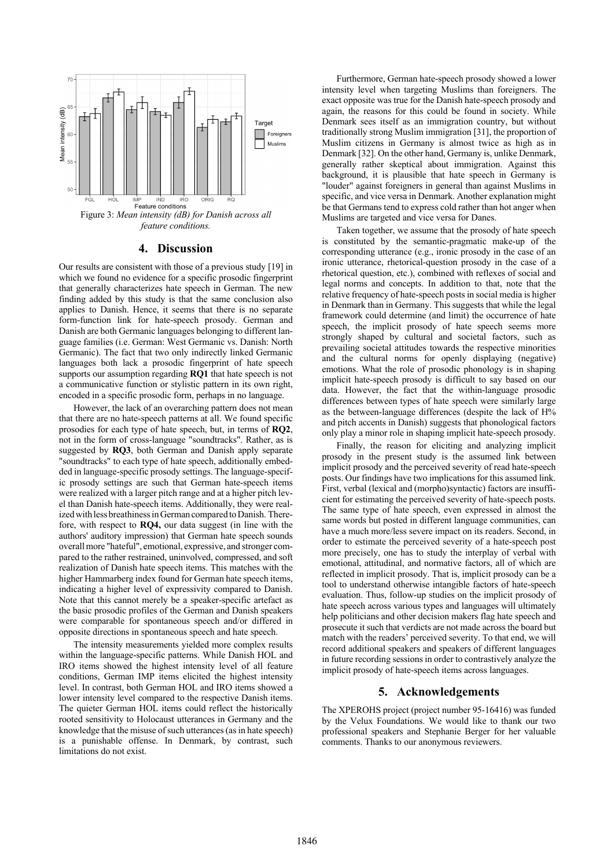

### **4. Discussion**

Our results are consistent with those of a previous study [19] in which we found no evidence for a specific prosodic fingerprint that generally characterizes hate speech in German. The new finding added by this study is that the same conclusion also applies to Danish. Hence, it seems that there is no separate form-function link for hate-speech prosody. German and Danish are both Germanic languages belonging to different language families (i.e. German: West Germanic vs. Danish: North Germanic). The fact that two only indirectly linked Germanic languages both lack a prosodic fingerprint of hate speech supports our assumption regarding **RQ1** that hate speech is not a communicative function or stylistic pattern in its own right, encoded in a specific prosodic form, perhaps in no language.

However, the lack of an overarching pattern does not mean that there are no hate-speech patterns at all. We found specific prosodies for each type of hate speech, but, in terms of **RQ2**, not in the form of cross-language "soundtracks". Rather, as is suggested by **RQ3**, both German and Danish apply separate "soundtracks" to each type of hate speech, additionally embedded in language-specific prosody settings. The language-specific prosody settings are such that German hate-speech items were realized with a larger pitch range and at a higher pitch level than Danish hate-speech items. Additionally, they were realized with less breathiness in German compared to Danish. Therefore, with respect to **RQ4,** our data suggest (in line with the authors' auditory impression) that German hate speech sounds overallmore "hateful", emotional, expressive, and stronger compared to the rather restrained, uninvolved, compressed, and soft realization of Danish hate speech items. This matches with the higher Hammarberg index found for German hate speech items, indicating a higher level of expressivity compared to Danish. Note that this cannot merely be a speaker-specific artefact as the basic prosodic profiles of the German and Danish speakers were comparable for spontaneous speech and/or differed in opposite directions in spontaneous speech and hate speech.

The intensity measurements yielded more complex results within the language-specific patterns. While Danish HOL and IRO items showed the highest intensity level of all feature conditions, German IMP items elicited the highest intensity level. In contrast, both German HOL and IRO items showed a lower intensity level compared to the respective Danish items. The quieter German HOL items could reflect the historically rooted sensitivity to Holocaust utterances in Germany and the knowledge that the misuse of such utterances (as in hate speech) is a punishable offense. In Denmark, by contrast, such limitations do not exist.

Furthermore, German hate-speech prosody showed a lower intensity level when targeting Muslims than foreigners. The exact opposite was true for the Danish hate-speech prosody and again, the reasons for this could be found in society. While Denmark sees itself as an immigration country, but without traditionally strong Muslim immigration [31], the proportion of Muslim citizens in Germany is almost twice as high as in Denmark [32]. On the other hand, Germany is, unlike Denmark, generally rather skeptical about immigration. Against this background, it is plausible that hate speech in Germany is "louder" against foreigners in general than against Muslims in specific, and vice versa in Denmark. Another explanation might be that Germans tend to express cold rather than hot anger when Muslims are targeted and vice versa for Danes.

Taken together, we assume that the prosody of hate speech is constituted by the semantic-pragmatic make-up of the corresponding utterance (e.g., ironic prosody in the case of an ironic utterance, rhetorical-question prosody in the case of a rhetorical question, etc.), combined with reflexes of social and legal norms and concepts. In addition to that, note that the relative frequency of hate-speech posts in social media is higher in Denmark than in Germany. This suggests that while the legal framework could determine (and limit) the occurrence of hate speech, the implicit prosody of hate speech seems more strongly shaped by cultural and societal factors, such as prevailing societal attitudes towards the respective minorities and the cultural norms for openly displaying (negative) emotions. What the role of prosodic phonology is in shaping implicit hate-speech prosody is difficult to say based on our data. However, the fact that the within-language prosodic differences between types of hate speech were similarly large as the between-language differences (despite the lack of H% and pitch accents in Danish) suggests that phonological factors only play a minor role in shaping implicit hate-speech prosody.

Finally, the reason for eliciting and analyzing implicit prosody in the present study is the assumed link between implicit prosody and the perceived severity of read hate-speech posts. Our findings have two implications for this assumed link. First, verbal (lexical and (morpho)syntactic) factors are insufficient for estimating the perceived severity of hate-speech posts. The same type of hate speech, even expressed in almost the same words but posted in different language communities, can have a much more/less severe impact on its readers. Second, in order to estimate the perceived severity of a hate-speech post more precisely, one has to study the interplay of verbal with emotional, attitudinal, and normative factors, all of which are reflected in implicit prosody. That is, implicit prosody can be a tool to understand otherwise intangible factors of hate-speech evaluation. Thus, follow-up studies on the implicit prosody of hate speech across various types and languages will ultimately help politicians and other decision makers flag hate speech and prosecute it such that verdicts are not made across the board but match with the readers' perceived severity. To that end, we will record additional speakers and speakers of different languages in future recording sessions in order to contrastively analyze the implicit prosody of hate-speech items across languages.

### **5. Acknowledgements**

The XPEROHS project (project number 95-16416) was funded by the Velux Foundations. We would like to thank our two professional speakers and Stephanie Berger for her valuable comments. Thanks to our anonymous reviewers.